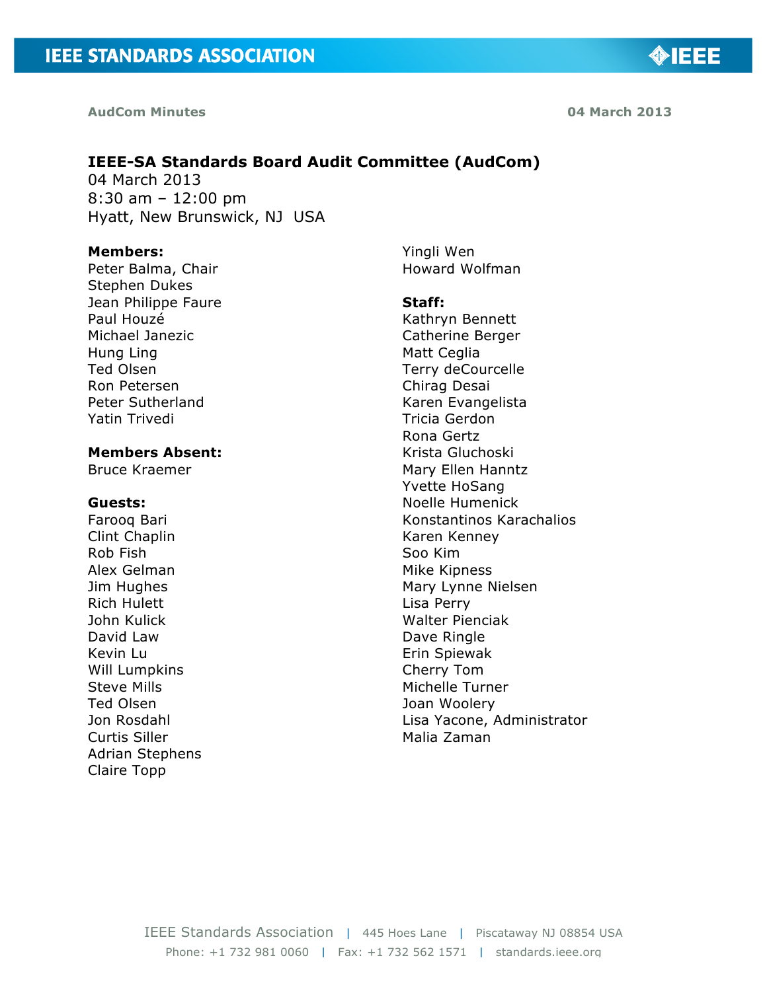**AudCom Minutes 04 March 2013**

# **IEEE-SA Standards Board Audit Committee (AudCom)**

04 March 2013 8:30 am – 12:00 pm Hyatt, New Brunswick, NJ USA

#### **Members:**

Peter Balma, Chair Stephen Dukes Jean Philippe Faure Paul Houzé Michael Janezic Hung Ling Ted Olsen Ron Petersen Peter Sutherland Yatin Trivedi

#### **Members Absent:**

Bruce Kraemer

#### **Guests:**

Farooq Bari Clint Chaplin Rob Fish Alex Gelman Jim Hughes Rich Hulett John Kulick David Law Kevin Lu Will Lumpkins Steve Mills Ted Olsen Jon Rosdahl Curtis Siller Adrian Stephens Claire Topp

Yingli Wen Howard Wolfman

#### **Staff:**

Kathryn Bennett Catherine Berger Matt Ceglia Terry deCourcelle Chirag Desai Karen Evangelista Tricia Gerdon Rona Gertz Krista Gluchoski Mary Ellen Hanntz Yvette HoSang Noelle Humenick Konstantinos Karachalios Karen Kenney Soo Kim Mike Kipness Mary Lynne Nielsen Lisa Perry Walter Pienciak Dave Ringle Erin Spiewak Cherry Tom Michelle Turner Joan Woolery Lisa Yacone, Administrator Malia Zaman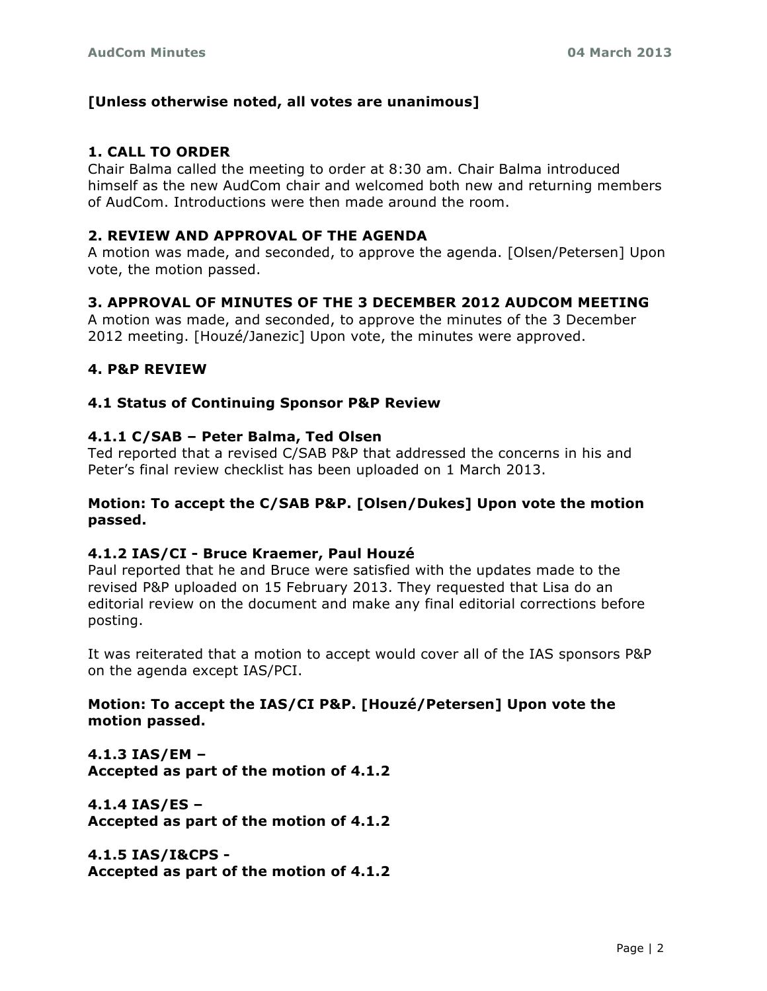# **[Unless otherwise noted, all votes are unanimous]**

# **1. CALL TO ORDER**

Chair Balma called the meeting to order at 8:30 am. Chair Balma introduced himself as the new AudCom chair and welcomed both new and returning members of AudCom. Introductions were then made around the room.

### **2. REVIEW AND APPROVAL OF THE AGENDA**

A motion was made, and seconded, to approve the agenda. [Olsen/Petersen] Upon vote, the motion passed.

# **3. APPROVAL OF MINUTES OF THE 3 DECEMBER 2012 AUDCOM MEETING**

A motion was made, and seconded, to approve the minutes of the 3 December 2012 meeting. [Houzé/Janezic] Upon vote, the minutes were approved.

### **4. P&P REVIEW**

### **4.1 Status of Continuing Sponsor P&P Review**

#### **4.1.1 C/SAB – Peter Balma, Ted Olsen**

Ted reported that a revised C/SAB P&P that addressed the concerns in his and Peter's final review checklist has been uploaded on 1 March 2013.

### **Motion: To accept the C/SAB P&P. [Olsen/Dukes] Upon vote the motion passed.**

### **4.1.2 IAS/CI - Bruce Kraemer, Paul Houzé**

Paul reported that he and Bruce were satisfied with the updates made to the revised P&P uploaded on 15 February 2013. They requested that Lisa do an editorial review on the document and make any final editorial corrections before posting.

It was reiterated that a motion to accept would cover all of the IAS sponsors P&P on the agenda except IAS/PCI.

# **Motion: To accept the IAS/CI P&P. [Houzé/Petersen] Upon vote the motion passed.**

**4.1.3 IAS/EM – Accepted as part of the motion of 4.1.2**

**4.1.4 IAS/ES – Accepted as part of the motion of 4.1.2**

**4.1.5 IAS/I&CPS - Accepted as part of the motion of 4.1.2**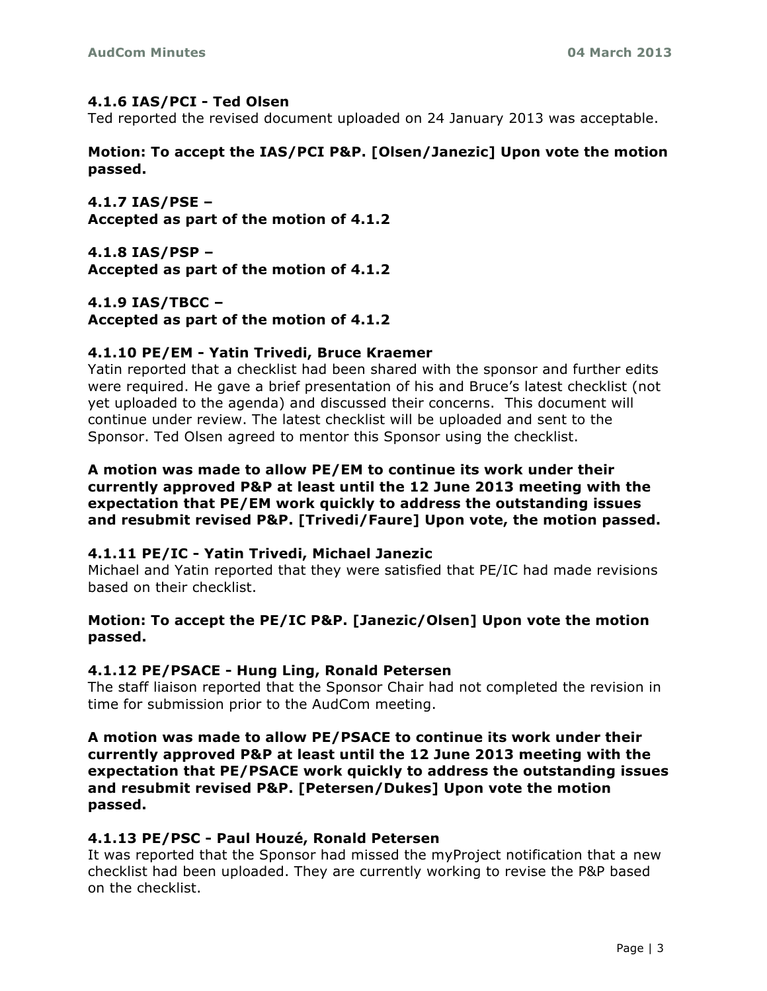### **4.1.6 IAS/PCI - Ted Olsen**

Ted reported the revised document uploaded on 24 January 2013 was acceptable.

**Motion: To accept the IAS/PCI P&P. [Olsen/Janezic] Upon vote the motion passed.**

**4.1.7 IAS/PSE – Accepted as part of the motion of 4.1.2**

**4.1.8 IAS/PSP – Accepted as part of the motion of 4.1.2**

**4.1.9 IAS/TBCC – Accepted as part of the motion of 4.1.2**

### **4.1.10 PE/EM - Yatin Trivedi, Bruce Kraemer**

Yatin reported that a checklist had been shared with the sponsor and further edits were required. He gave a brief presentation of his and Bruce's latest checklist (not yet uploaded to the agenda) and discussed their concerns. This document will continue under review. The latest checklist will be uploaded and sent to the Sponsor. Ted Olsen agreed to mentor this Sponsor using the checklist.

**A motion was made to allow PE/EM to continue its work under their currently approved P&P at least until the 12 June 2013 meeting with the expectation that PE/EM work quickly to address the outstanding issues and resubmit revised P&P. [Trivedi/Faure] Upon vote, the motion passed.**

### **4.1.11 PE/IC - Yatin Trivedi, Michael Janezic**

Michael and Yatin reported that they were satisfied that PE/IC had made revisions based on their checklist.

### **Motion: To accept the PE/IC P&P. [Janezic/Olsen] Upon vote the motion passed.**

# **4.1.12 PE/PSACE - Hung Ling, Ronald Petersen**

The staff liaison reported that the Sponsor Chair had not completed the revision in time for submission prior to the AudCom meeting.

**A motion was made to allow PE/PSACE to continue its work under their currently approved P&P at least until the 12 June 2013 meeting with the expectation that PE/PSACE work quickly to address the outstanding issues and resubmit revised P&P. [Petersen/Dukes] Upon vote the motion passed.**

### **4.1.13 PE/PSC - Paul Houzé, Ronald Petersen**

It was reported that the Sponsor had missed the myProject notification that a new checklist had been uploaded. They are currently working to revise the P&P based on the checklist.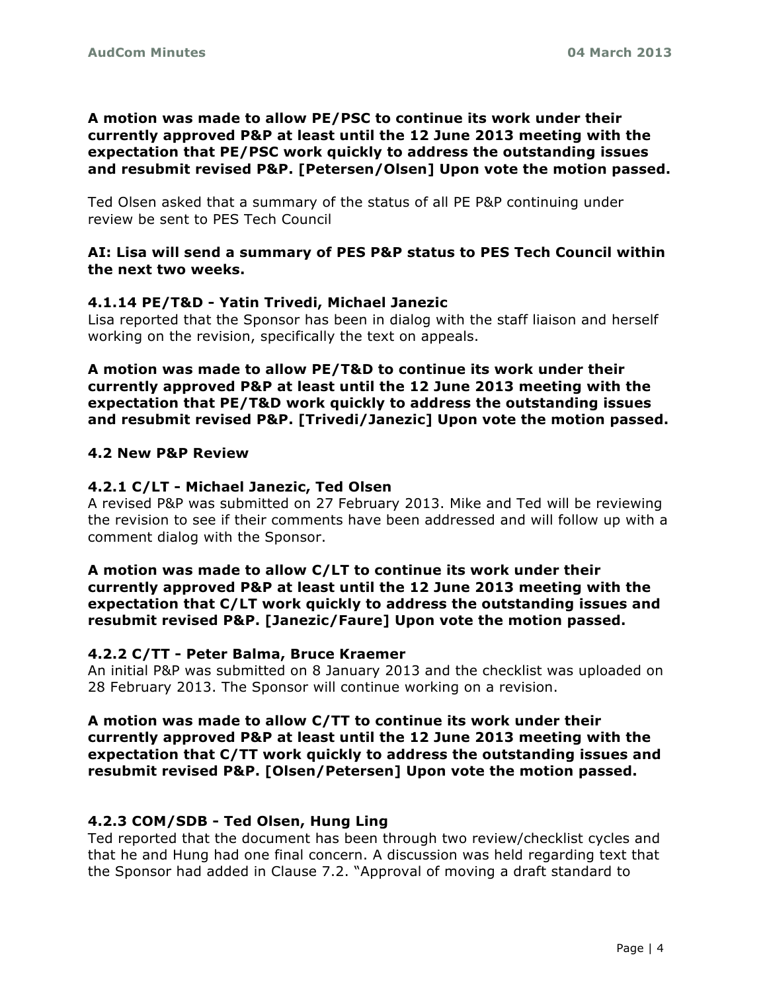# **A motion was made to allow PE/PSC to continue its work under their currently approved P&P at least until the 12 June 2013 meeting with the expectation that PE/PSC work quickly to address the outstanding issues and resubmit revised P&P. [Petersen/Olsen] Upon vote the motion passed.**

Ted Olsen asked that a summary of the status of all PE P&P continuing under review be sent to PES Tech Council

### **AI: Lisa will send a summary of PES P&P status to PES Tech Council within the next two weeks.**

# **4.1.14 PE/T&D - Yatin Trivedi, Michael Janezic**

Lisa reported that the Sponsor has been in dialog with the staff liaison and herself working on the revision, specifically the text on appeals.

**A motion was made to allow PE/T&D to continue its work under their currently approved P&P at least until the 12 June 2013 meeting with the expectation that PE/T&D work quickly to address the outstanding issues and resubmit revised P&P. [Trivedi/Janezic] Upon vote the motion passed.**

# **4.2 New P&P Review**

# **4.2.1 C/LT - Michael Janezic, Ted Olsen**

A revised P&P was submitted on 27 February 2013. Mike and Ted will be reviewing the revision to see if their comments have been addressed and will follow up with a comment dialog with the Sponsor.

### **A motion was made to allow C/LT to continue its work under their currently approved P&P at least until the 12 June 2013 meeting with the expectation that C/LT work quickly to address the outstanding issues and resubmit revised P&P. [Janezic/Faure] Upon vote the motion passed.**

# **4.2.2 C/TT - Peter Balma, Bruce Kraemer**

An initial P&P was submitted on 8 January 2013 and the checklist was uploaded on 28 February 2013. The Sponsor will continue working on a revision.

### **A motion was made to allow C/TT to continue its work under their currently approved P&P at least until the 12 June 2013 meeting with the expectation that C/TT work quickly to address the outstanding issues and resubmit revised P&P. [Olsen/Petersen] Upon vote the motion passed.**

# **4.2.3 COM/SDB - Ted Olsen, Hung Ling**

Ted reported that the document has been through two review/checklist cycles and that he and Hung had one final concern. A discussion was held regarding text that the Sponsor had added in Clause 7.2. "Approval of moving a draft standard to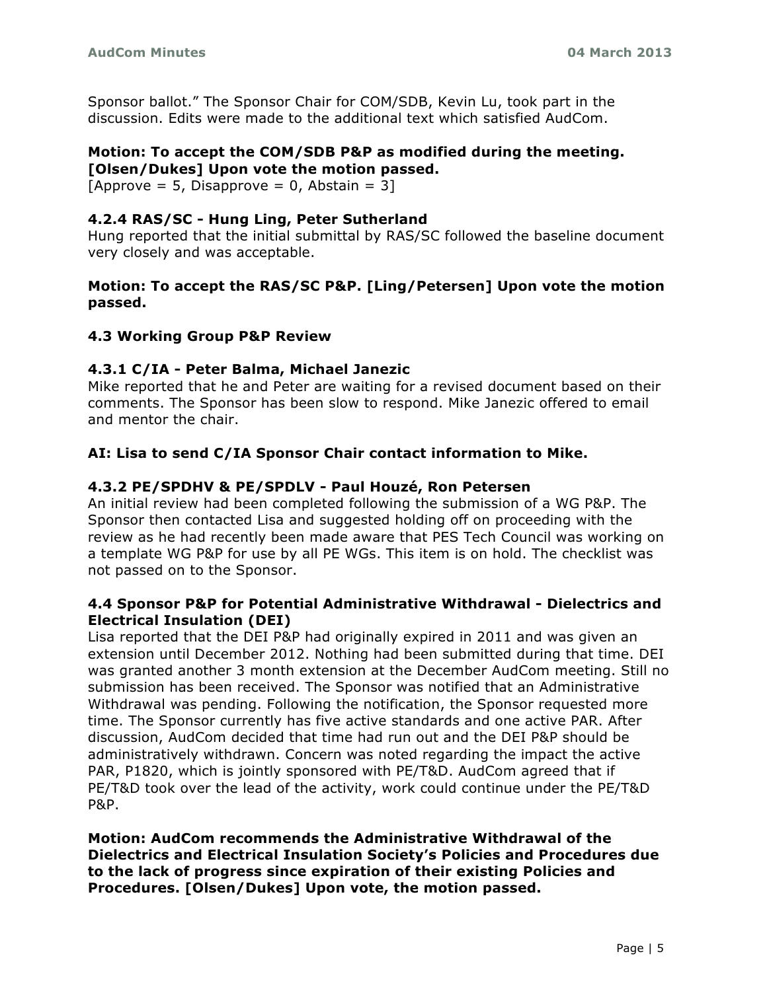Sponsor ballot." The Sponsor Chair for COM/SDB, Kevin Lu, took part in the discussion. Edits were made to the additional text which satisfied AudCom.

#### **Motion: To accept the COM/SDB P&P as modified during the meeting. [Olsen/Dukes] Upon vote the motion passed.**

[Approve = 5, Disapprove = 0, Abstain = 3]

# **4.2.4 RAS/SC - Hung Ling, Peter Sutherland**

Hung reported that the initial submittal by RAS/SC followed the baseline document very closely and was acceptable.

# **Motion: To accept the RAS/SC P&P. [Ling/Petersen] Upon vote the motion passed.**

# **4.3 Working Group P&P Review**

# **4.3.1 C/IA - Peter Balma, Michael Janezic**

Mike reported that he and Peter are waiting for a revised document based on their comments. The Sponsor has been slow to respond. Mike Janezic offered to email and mentor the chair.

# **AI: Lisa to send C/IA Sponsor Chair contact information to Mike.**

# **4.3.2 PE/SPDHV & PE/SPDLV - Paul Houzé, Ron Petersen**

An initial review had been completed following the submission of a WG P&P. The Sponsor then contacted Lisa and suggested holding off on proceeding with the review as he had recently been made aware that PES Tech Council was working on a template WG P&P for use by all PE WGs. This item is on hold. The checklist was not passed on to the Sponsor.

### **4.4 Sponsor P&P for Potential Administrative Withdrawal - Dielectrics and Electrical Insulation (DEI)**

Lisa reported that the DEI P&P had originally expired in 2011 and was given an extension until December 2012. Nothing had been submitted during that time. DEI was granted another 3 month extension at the December AudCom meeting. Still no submission has been received. The Sponsor was notified that an Administrative Withdrawal was pending. Following the notification, the Sponsor requested more time. The Sponsor currently has five active standards and one active PAR. After discussion, AudCom decided that time had run out and the DEI P&P should be administratively withdrawn. Concern was noted regarding the impact the active PAR, P1820, which is jointly sponsored with PE/T&D. AudCom agreed that if PE/T&D took over the lead of the activity, work could continue under the PE/T&D P&P.

**Motion: AudCom recommends the Administrative Withdrawal of the Dielectrics and Electrical Insulation Society's Policies and Procedures due to the lack of progress since expiration of their existing Policies and Procedures. [Olsen/Dukes] Upon vote, the motion passed.**